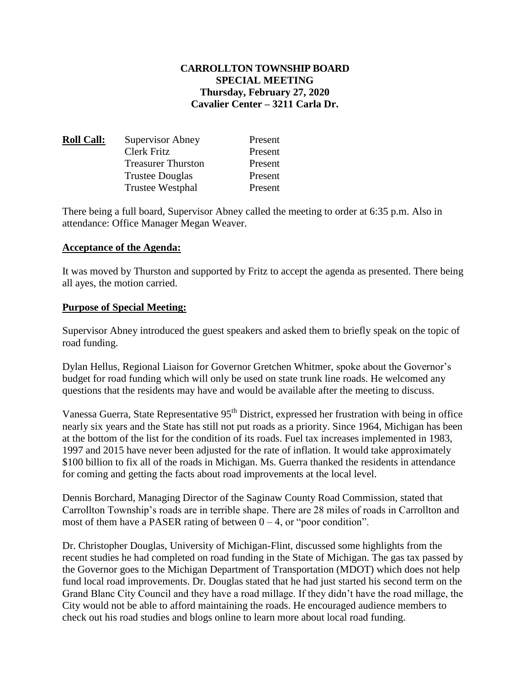# **CARROLLTON TOWNSHIP BOARD SPECIAL MEETING Thursday, February 27, 2020 Cavalier Center – 3211 Carla Dr.**

| <u> Roll Call:</u> | <b>Supervisor Abney</b>   | Present |
|--------------------|---------------------------|---------|
|                    | Clerk Fritz               | Present |
|                    | <b>Treasurer Thurston</b> | Present |
|                    | <b>Trustee Douglas</b>    | Present |
|                    | <b>Trustee Westphal</b>   | Present |

There being a full board, Supervisor Abney called the meeting to order at 6:35 p.m. Also in attendance: Office Manager Megan Weaver.

#### **Acceptance of the Agenda:**

It was moved by Thurston and supported by Fritz to accept the agenda as presented. There being all ayes, the motion carried.

### **Purpose of Special Meeting:**

Supervisor Abney introduced the guest speakers and asked them to briefly speak on the topic of road funding.

Dylan Hellus, Regional Liaison for Governor Gretchen Whitmer, spoke about the Governor's budget for road funding which will only be used on state trunk line roads. He welcomed any questions that the residents may have and would be available after the meeting to discuss.

Vanessa Guerra, State Representative 95<sup>th</sup> District, expressed her frustration with being in office nearly six years and the State has still not put roads as a priority. Since 1964, Michigan has been at the bottom of the list for the condition of its roads. Fuel tax increases implemented in 1983, 1997 and 2015 have never been adjusted for the rate of inflation. It would take approximately \$100 billion to fix all of the roads in Michigan. Ms. Guerra thanked the residents in attendance for coming and getting the facts about road improvements at the local level.

Dennis Borchard, Managing Director of the Saginaw County Road Commission, stated that Carrollton Township's roads are in terrible shape. There are 28 miles of roads in Carrollton and most of them have a PASER rating of between  $0 - 4$ , or "poor condition".

Dr. Christopher Douglas, University of Michigan-Flint, discussed some highlights from the recent studies he had completed on road funding in the State of Michigan. The gas tax passed by the Governor goes to the Michigan Department of Transportation (MDOT) which does not help fund local road improvements. Dr. Douglas stated that he had just started his second term on the Grand Blanc City Council and they have a road millage. If they didn't have the road millage, the City would not be able to afford maintaining the roads. He encouraged audience members to check out his road studies and blogs online to learn more about local road funding.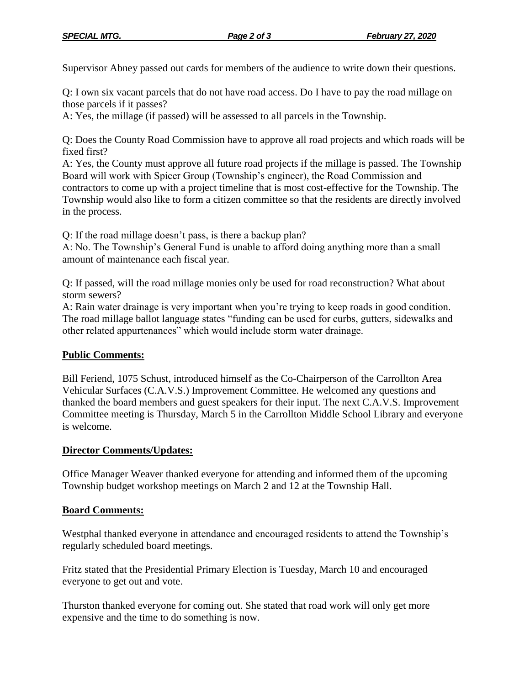Supervisor Abney passed out cards for members of the audience to write down their questions.

Q: I own six vacant parcels that do not have road access. Do I have to pay the road millage on those parcels if it passes?

A: Yes, the millage (if passed) will be assessed to all parcels in the Township.

Q: Does the County Road Commission have to approve all road projects and which roads will be fixed first?

A: Yes, the County must approve all future road projects if the millage is passed. The Township Board will work with Spicer Group (Township's engineer), the Road Commission and contractors to come up with a project timeline that is most cost-effective for the Township. The Township would also like to form a citizen committee so that the residents are directly involved in the process.

Q: If the road millage doesn't pass, is there a backup plan?

A: No. The Township's General Fund is unable to afford doing anything more than a small amount of maintenance each fiscal year.

Q: If passed, will the road millage monies only be used for road reconstruction? What about storm sewers?

A: Rain water drainage is very important when you're trying to keep roads in good condition. The road millage ballot language states "funding can be used for curbs, gutters, sidewalks and other related appurtenances" which would include storm water drainage.

#### **Public Comments:**

Bill Feriend, 1075 Schust, introduced himself as the Co-Chairperson of the Carrollton Area Vehicular Surfaces (C.A.V.S.) Improvement Committee. He welcomed any questions and thanked the board members and guest speakers for their input. The next C.A.V.S. Improvement Committee meeting is Thursday, March 5 in the Carrollton Middle School Library and everyone is welcome.

#### **Director Comments/Updates:**

Office Manager Weaver thanked everyone for attending and informed them of the upcoming Township budget workshop meetings on March 2 and 12 at the Township Hall.

#### **Board Comments:**

Westphal thanked everyone in attendance and encouraged residents to attend the Township's regularly scheduled board meetings.

Fritz stated that the Presidential Primary Election is Tuesday, March 10 and encouraged everyone to get out and vote.

Thurston thanked everyone for coming out. She stated that road work will only get more expensive and the time to do something is now.